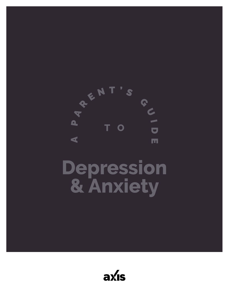

# **Depression & Anxiety**

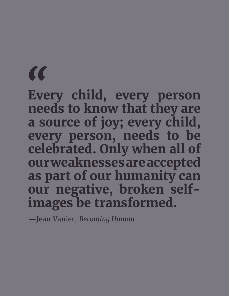**Every child, every person needs to know that they are a source of joy; every child, every person, needs to be celebrated. Only when all of our weaknesses are accepted as part of our humanity can our negative, broken selfimages be transformed.** Eve

—Jean Vanier, *Becoming Human*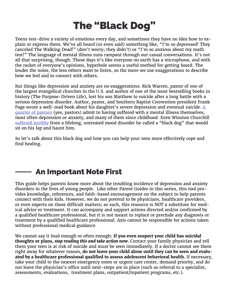## The "Black Dog"

Teens test-drive a variety of emotions every day, and sometimes they have no idea how to explain or express them. We've all heard (or even said) something like, "I'm so depressed! They canceled The Walking Dead!" (don't worry; they didn't) or "I'm so anxious about my math test!" The language of mental illness runs rampant through our casual conversations. It's not all that surprising, though. These days it's like everyone on earth has a microphone, and with the racket of everyone's opinions, hyperbole seems a useful method for getting heard. The louder the noise, the less others want to listen, so the more we use exaggerations to describe how we feel and to connect with others.

But things like depression and anxiety are no exaggerations: Rick Warren, pastor of one of the largest evangelical churches in the U.S. and author of one of the most bestselling books in history (The Purpose-Driven Life), lost his son Matthew to suicide after a long battle with a serious depression disorder. Author, pastor, and Southern Baptist Convention president Frank Page wrote a well-read book about his daughter's severe depression and eventual suicide.  $\underline{A}$ [quarter of pastors](http://www.christianitytoday.com/news/2014/september/1-in-4-pastors-have-mental-illness-lifeway-focus-on-family.html) (yes, pastors) admit to having suffered with a mental illness themselves, most often depression or anxiety, and many of them since childhood. Even Winston Churchill [suffered terribly]( http://www.bbc.com/news/magazine-15033046) from a lifelong, untreated mood disorder he called a "black dog" that would sit on his lap and haunt him.

So let's talk about this black dog and how you can help your teen more effectively cope and find healing.

## An Important Note First

This guide helps parents know more about the troubling incidence of depression and anxiety disorders in the lives of young people. Like other Parent Guides in this series, this tool provides knowledge, references, and faith-based encouragement on the subject to help parents connect with their kids. However, we do not pretend to be physicians, healthcare providers, or even experts on these difficult matters; as such, this resource is NOT a substitute for medical advice or treatment. It can accompany and support actions directed and/or confirmed by a qualified healthcare professional, but it is not meant to replace or preclude any diagnosis or treatment by a qualified healthcare professional. Axis cannot be responsible for actions taken without professional medical guidance.

We cannot say it loud enough or often enough: **If you even suspect your child has suicidal thoughts or plans,** *stop reading this and take action now***.** Contact your family physician and tell them your teen is at risk of suicide and must be seen immediately. If a doctor cannot see them right away for whatever reason, **do not leave your child alone until they can be seen and evaluated by a healthcare professional qualified to assess adolescent behavioral health.** If necessary, take your child to the nearest emergency room or urgent care center, demand priority, and do not leave the physician's office until next-steps are in place (such as referral to a specialist, assessments, evaluations, treatment plans, outpatient/inpatient programs, etc.).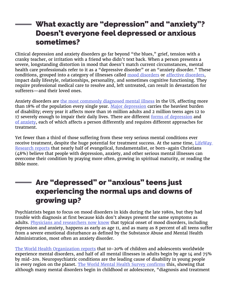## What exactly are "depression" and "anxiety"? Doesn't everyone feel depressed or anxious sometimes?

Clinical depression and anxiety disorders go far beyond "the blues," grief, tension with a cranky teacher, or irritation with a friend who didn't text back. When a person presents a severe, longstanding distortion in mood that doesn't match current circumstances, mental health care professionals refer to it as a "depressive disorder" or an "anxiety disorder." These conditions, grouped into a category of illnesses called [mood disorders](http://www.mentalhealthamerica.net/conditions/mood-disorders) or [affective disorders](http://www.stanfordchildrens.org/en/topic/default?id=overview-of-mood-disorders-in-children-and-adolescents-90-P01634), impact daily lifestyle, relationships, personality, and sometimes cognitive functioning. They require professional medical care to resolve and, left untreated, can result in devastation for sufferers—and their loved ones.

Anxiety disorders are [the most commonly diagnosed mental illness](https://adaa.org/about-adaa/press-room/facts-statistics) in the US, affecting more than 18% of the population every single year. [Major depression](https://www.samhsa.gov/data/sites/default/files/NSDUH-FFR1-2015/NSDUH-FFR1-2015/NSDUH-FFR1-2015.htm) carries the heaviest burden of disability; every year it affects more than 16 million adults and 2 million teens ages 12 to 17 severely enough to impair their daily lives. There are different [forms of depression](https://www.nimh.nih.gov/health/topics/depression/index.shtml) and [of anxiety](https://www.hhs.gov/answers/mental-health-and-substance-abuse/what-are-the-five-major-types-of-anxiety-disorders/index.html), each of which affects a person differently and requires different approaches for treatment.

Yet fewer than a third of those suffering from these very serious mental conditions ever receive treatment, despite the huge potential for treatment success. At the same time, LifeWay [Research reports](http://lifewayresearch.com/2014/09/22/mental-illness-remains-taboo-topic-for-many-pastors/) that nearly half of evangelical, fundamentalist, or born-again Christians (48%) believe that people with depression, anxiety, and other serious mental illnesses can overcome their condition by praying more often, growing in spiritual maturity, or reading the Bible more.

## Are "depressed" or "anxious" teens just experiencing the normal ups and downs of growing up?

Psychiatrists began to focus on mood disorders in kids during the late 1980s, but they had trouble with diagnosis at first because kids don't always present the same symptoms as adults. [Physicians and researchers now know](https://www.nimh.nih.gov/news/science-news/2012/survey-finds-more-evidence-that-mental-disorders-often-begin-in-youth.shtml) that typical onset of mood disorders, including depression and anxiety, happens as early as age 11, and as many as 8 percent of all teens suffer from a severe emotional disturbance as defined by the Substance Abuse and Mental Health Administration, most often an anxiety disorder.

[The World Health Organization reports](http://www.who.int/maternal_child_adolescent/topics/adolescence/mental_health/en/) that 10-20% of children and adolescents worldwide experience mental disorders, and half of all mental illnesses in adults begin by age 14 and 75% by mid-20s. Neuropsychiatric conditions are the leading cause of disability in young people in every region on the planet. [The World Mental Health Survey confirms](http://apps.who.int/adolescent/second-decade/section4/page1/Mental-health-issues.html) this, showing that although many mental disorders begin in childhood or adolescence, "diagnosis and treatment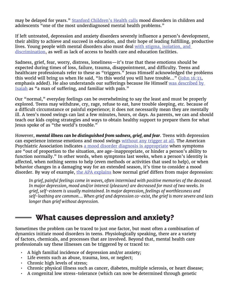may be delayed for years." [Stanford Children's Health calls](http://www.stanfordchildrens.org/en/topic/default?id=overview-of-mood-disorders-in-children-and-adolescents-90-P01634) mood disorders in children and adolescents "one of the most underdiagnosed mental health problems."

If left untreated, depression and anxiety disorders severely influence a person's development, their ability to achieve and succeed in education, and their hope of leading fulfilling, productive lives. Young people with mental disorders also must deal [with stigma, isolation, and](https://www.healthyplace.com/blogs/parentingchildwithmentalillness/2015/03/mood-disorders-in-teens/)  [discrimination](https://www.healthyplace.com/blogs/parentingchildwithmentalillness/2015/03/mood-disorders-in-teens/), as well as lack of access to health care and education facilities.

Sadness, grief, fear, worry, distress, loneliness—it's true that these emotions should be expected during times of loss, failure, trauma, disappointment, and difficulty. Teens and healthcare professionals refer to these as "triggers." Jesus Himself acknowledged the problems this world will bring us when He said, "In this world you will have trouble..." ([John 16:33](https://www.biblegateway.com/passage/?search=john+16%3A33&version=NIV), emphasis added). He also understands our sufferings because He Himself was described by [Isaiah](https://www.biblegateway.com/passage/?search=Isaiah+53) as "a man of suffering, and familiar with pain."

Our "normal," everyday feelings can be overwhelming to say the least and must be properly explored. Teens may withdraw, cry, rage, refuse to eat, have trouble sleeping, etc. because of a difficult circumstance or painful experience; it does not necessarily mean they are mentally ill. A teen's mood swings can last a few minutes, hours, or days. As parents, we can and should teach our kids coping strategies and ways to obtain healthy support to prepare them for what Jesus spoke of as "the world's trouble."

However, *mental illness can be distinguished from sadness, grief, and fear*. Teens with depression can experience intense emotions and mood swings [without any trigger at all](https://www.healthyplace.com/blogs/parentingchildwithmentalillness/2015/03/mood-disorders-in-teens/). The American Psychiatric Association indicates [a mood disorder diagnosis is appropriate](https://www.psychiatry.org/patients-families) when symptoms are "out of proportion to the situation, are age-inappropriate, or hinder a person's ability to function normally." In other words, when symptoms last weeks, when a person's identity is affected, when nothing seems to help (even methods or activities that used to help), or when behavior changes in a damaging way for an extended season, it's time to consider a mood disorder. By way of example, [the APA explains](https://www.psychiatry.org/patients-families) how normal grief differs from major depression:

*In grief, painful feelings come in waves, often intermixed with positive memories of the deceased. In major depression, mood and/or interest (pleasure) are decreased for most of two weeks. In grief, self-esteem is usually maintained. In major depression, feelings of worthlessness and self-loathing are common.… When grief and depression co-exist, the grief is more severe and lasts longer than grief without depression.*

## What causes depression and anxiety?

Sometimes the problem can be traced to just one factor, but most often a combination of dynamics initiate mood disorders in teens. Physiologically speaking, there are a variety of factors, chemicals, and processes that are involved. Beyond that, mental health care professionals say these illnesses can be triggered by or traced to:

- A high familial incidence of depression and/or anxiety;
- Life events such as abuse, trauma, loss, or neglect;
- Chronic high levels of stress;
- Chronic physical illness such as cancer, diabetes, multiple sclerosis, or heart disease;
- A congenital low stress-tolerance (which can now be determined through genetic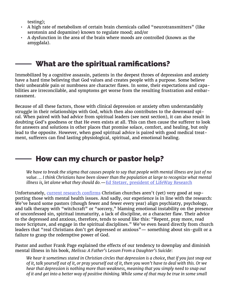testing);

- A high rate of metabolism of certain brain chemicals called "neurotransmitters" (like serotonin and dopamine) known to regulate mood; and/or
- A dysfunction in the area of the brain where moods are controlled (known as the amygdala).

## What are the spiritual ramifications?

Immobilized by a cognitive assassin, patients in the deepest throes of depression and anxiety have a hard time believing that God values and creates people with a purpose. Some believe their unbearable pain or numbness are character flaws. In some, their expectations and capabilities are irreconcilable, and symptoms get worse from the resulting frustration and embarrassment.

Because of all these factors, those with clinical depression or anxiety often understandably struggle in their relationships with God, which then also contributes to the downward spiral. When paired with bad advice from spiritual leaders (see next section), it can also result in doubting God's goodness or that He even exists at all. This can then cause the sufferer to look for answers and solutions in other places that promise solace, comfort, and healing, but only lead to the opposite. However, when good spiritual advice is paired with good medical treatment, sufferers can find lasting physiological, spiritual, and emotional healing.

## How can my church or pastor help?

*We have to break the stigma that causes people to say that people with mental illness are just of no value. … I think Christians have been slower than the population at large to recognize what mental illness is, let alone what they should do.*—[Ed Stetzer, president of LifeWay Research](http://www.christianitytoday.com/news/2014/september/1-in-4-pastors-have-mental-illness-lifeway-focus-on-family.html)

Unfortunately, [current research confirms](http://lifewayresearch.com/2014/09/22/mental-illness-remains-taboo-topic-for-many-pastors/) Christian churches aren't (yet) very good at supporting those with mental health issues. And sadly, our experience is in line with the research: We've heard some pastors (though fewer and fewer every year) align psychiatry, psychology, and talk therapy with "witchcraft" or "sorcery," blaming emotional instability on the presence of unconfessed sin, spiritual immaturity, a lack of discipline, or a character flaw. Their advice to the depressed and anxious, therefore, tends to sound like this: "Repent, pray more, read more Scripture, and engage in the spiritual disciplines." We've even heard directly from church leaders that "real Christians don't get depressed or anxious"— something about sin-guilt or a failure to grasp the redemptive power of God.

Pastor and author Frank Page explained the effects of our tendency to downplay and diminish mental illness in his book, *Melissa: A Father's Lesson From a Daughter's Suicide*:

*We hear it sometimes stated in Christian circles that depression is a choice, that if you just snap out of it, talk yourself out of it, or pray yourself out of it, then you won't have to deal with this. Or we hear that depression is nothing more than weakness, meaning that you simply need to snap out of it and get into a better way of positive thinking. While some of that may be true in some small*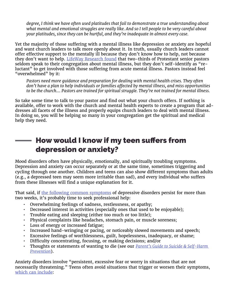*degree, I think we have often used platitudes that fail to demonstrate a true understanding about what mental and emotional struggles are really like. And so I tell people to be very careful about your platitudes, since they can be hurtful, and they're inadequate in almost every case.*

Yet the majority of those suffering with a mental illness like depression or anxiety are hopeful and want church leaders to talk more openly about it. In truth, usually church leaders cannot offer effective support to the mentally ill because they don't know how to help, not because they don't want to help. [LifeWay Research found](http://lifewayresearch.com/2014/09/22/mental-illness-remains-taboo-topic-for-many-pastors/) that two-thirds of Protestant senior pastors seldom speak to their congregation about mental illness, but they don't self-identify as "reluctant" to get involved with those suffering from acute mental illness. Pastors instead feel "overwhelmed" by it:

*Pastors need more guidance and preparation for dealing with mental health crises. They often don't have a plan to help individuals or families affected by mental illness, and miss opportunities to be the church.… Pastors are trained for spiritual struggle. They're not trained for mental illness.*

So take some time to talk to your pastor and find out what your church offers. If nothing is available, offer to work with the church and mental health experts to create a program that addresses all facets of the illness and properly equips church leaders to deal with mental illness. In doing so, you will be helping so many in your congregation get the spiritual and medical help they need.

## How would I know if my teen suffers from depression or anxiety?

Mood disorders often have physically, emotionally, and spiritually troubling symptoms. Depression and anxiety can occur separately or at the same time, sometimes triggering and cycling through one another. Children and teens can also show different symptoms than adults (e.g., a depressed teen may seem more irritable than sad), and every individual who suffers from these illnesses will find a unique explanation for it.

That said, if [the following common symptoms](https://www.psychiatry.org/patients-families/depression/what-is-depression) of depressive disorders persist for more than two weeks, it's probably time to seek professional help:

- Overwhelming feelings of sadness, restlessness, or apathy;
- Decreased interest in activities (especially ones that used to be enjoyable);
- Trouble eating and sleeping (either too much or too little);
- Physical complaints like headaches, stomach pain, or muscle soreness;
- Loss of energy or increased fatigue;
- Increased hand-wringing or pacing, or noticeably slowed movements and speech;
- Excessive feelings of worthlessness, guilt, hopelessness, inadequacy, or shame;
- Difficulty concentrating, focusing, or making decisions; and/or
- Thoughts or statements of wanting to die (see our *[Parent's Guide to Suicide & Self-Harm](https://axis.org/guides)  [Prevention](https://axis.org/guides)*).

Anxiety disorders involve "persistent, excessive fear or worry in situations that are not necessarily threatening." Teens often avoid situations that trigger or worsen their symptoms, [which can include:](https://www.nami.org/Learn-More/Mental-Health-Conditions/Anxiety-Disorders)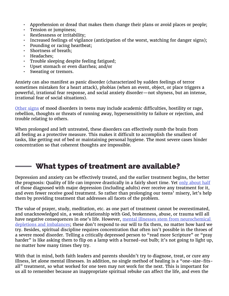- Apprehension or dread that makes them change their plans or avoid places or people;<br>• Tension or jumpiness:
- Tension or jumpiness:
- Restlessness or irritability;
- Increased feelings of vigilance (anticipation of the worst, watching for danger signs);
- Pounding or racing heartbeat;
- Shortness of breath;
- Headaches;
- Trouble sleeping despite feeling fatigued;
- Upset stomach or even diarrhea; and/or
- Sweating or tremors.

Anxiety can also manifest as panic disorder (characterized by sudden feelings of terror sometimes mistaken for a heart attack), phobias (when an event, object, or place triggers a powerful, irrational fear response, and social anxiety disorder—not shyness, but an intense, irrational fear of social situations).

[Other signs](http://www.stanfordchildrens.org/en/topic/default?id=overview-of-mood-disorders-in-children-and-adolescents-90-P01634) of mood disorders in teens may include academic difficulties, hostility or rage, rebellion, thoughts or threats of running away, hypersensitivity to failure or rejection, and trouble relating to others.

When prolonged and left untreated, these disorders can effectively numb the brain from all feeling as a protective measure. This makes it difficult to accomplish the smallest of tasks, like getting out of bed or maintaining personal hygiene. The most severe cases hinder concentration so that coherent thoughts are impossible.

## What types of treatment are available?

Depression and anxiety can be effectively treated, and the earlier treatment begins, the better the prognosis: Quality of life can improve drastically in a fairly short time. Yet [only about half](https://www.nimh.nih.gov) of those diagnosed with major depression (including adults) ever receive any treatment for it, and even fewer receive good treatment. So rather than prolonging our teens' misery, let's help them by providing treatment that addresses all facets of the problem.

The value of prayer, study, meditation, etc. as one part of treatment cannot be overestimated, and unacknowledged sin, a weak relationship with God, brokenness, abuse, or trauma will all have negative consequences in one's life. However, mental illnesses stem from neurochemical [depletions and imbalances](https://www.health.harvard.edu/mind-and-mood/what-causes-depression); these don't respond to our will to fix them, no matter how hard we try. Besides, spiritual discipline requires concentration that often isn't possible in the throes of a severe mood disorder. Telling a critically depressed person to "read more Scripture" or "pray harder" is like asking them to flip on a lamp with a burned-out bulb; it's not going to light up, no matter how many times they try.

With that in mind, both faith leaders and parents shouldn't try to diagnose, treat, or cure any illness, let alone mental illnesses. In addition, no single method of healing is a "one-size-fitsall" treatment, so what worked for one teen may not work for the next. This is important for us all to remember because an inappropriate spiritual rebuke can affect the life, and even the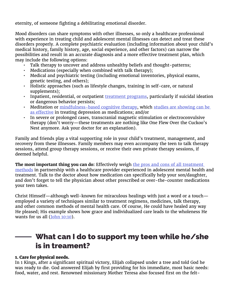eternity, of someone fighting a debilitating emotional disorder.

Mood disorders can share symptoms with other illnesses, so only a healthcare professional with experience in treating child and adolescent mental illnesses can detect and treat these disorders properly. A complete psychiatric evaluation (including information about your child's medical history, family history, age, social experience, and other factors) can narrow the possibilities and result in an accurate diagnosis and a more effective treatment plan, which may include the following options:

- Talk therapy to uncover and address unhealthy beliefs and thought-patterns;
- Medications (especially when combined with talk therapy);
- Medical and psychiatric testing (including emotional inventories, physical exams, genetic testing, and others);
- Holistic approaches (such as lifestyle changes, training in self-care, or natural supplements);
- Inpatient, residential, or outpatient [treatment programs,](http://www.psychguides.com/guides/mood-disorder-treatment-program-options/) particularly if suicidal ideation or dangerous behavior persists;
- Meditation or [mindfulness-based cognitive therapy,](http://www.apa.org/monitor/2015/03/cover-mindfulness.aspx) which studies are showing can be [as effective](http://www.telegraph.co.uk/science/2016/04/27/mindfulness-can-control-depression-as-well-as-drugs-study-shows/) in treating depression as medications; and/or
- In severe or prolonged cases, transcranial magnetic stimulation or electroconvulsive therapy (don't worry—these treatments are nothing like One Flew Over the Cuckoo's Nest anymore. Ask your doctor for an explanation).

Family and friends play a vital supporting role in your child's treatment, management, and recovery from these illnesses. Family members may even accompany the teen to talk therapy sessions, attend group therapy sessions, or receive their own private therapy sessions, if deemed helpful.

**The most important thing you can do:** Effectively weigh [the pros and cons of all treatment](https://www.psycom.net/depression.central.teens.medication.html)  [methods](https://www.psycom.net/depression.central.teens.medication.html) in partnership with a healthcare provider experienced in adolescent mental health and treatment. Talk to the doctor about how medication can specifically help your son/daughter, and don't forget to tell the physician about other prescribed or over-the-counter medications your teen takes.

Christ Himself—although well-known for miraculous healings with just a word or a touch employed a variety of techniques similar to treatment regimens, medicines, talk therapy, and other common methods of mental health care. Of course, He could have healed any way He pleased; His example shows how grace and individualized care leads to the wholeness He wants for us all ([John 10:10](https://www.biblegateway.com/passage/?search=john+10%3A10&version=NIV)).

## What can I do to support my teen while he/she is in treament?

#### 1. Care for physical needs.

In 1 Kings, after a significant spiritual victory, Elijah collapsed under a tree and told God he was ready to die. God answered Elijah by first providing for his immediate, most basic needs: food, water, and rest. Renowned missionary Mother Teresa also focused first on the felt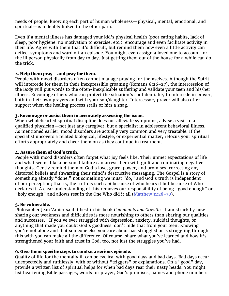needs of people, knowing each part of human wholeness—physical, mental, emotional, and spiritual—is indelibly linked to the other parts.

Even if a mental illness has damaged your kid's physical health (poor eating habits, lack of sleep, poor hygiene, no motivation to exercise, etc.), encourage and even facilitate activity in their life. Agree with them that it's difficult, but remind them how even a little activity can deflect symptoms and ward off an episode. You might even assign a loved one to account for the ill person physically from day to day. Just getting them out of the house for a while can do the trick.

#### 2. Help them pray—and pray for them.

People with mood disorders often cannot manage praying for themselves. Although the Spirit will intercede for them in their inexpressible groaning (Romans 8:26-27), the intercession of the Body will put words to the often-inexplicable suffering and validate your teen and his/her illness. Encourage others who can protect the situation's confidentiality to intercede in prayer, both in their own prayers and with your son/daughter. Intercessory prayer will also offer support when the healing process stalls or hits a snag.

#### 3. Encourage or assist them in accurately assessing the issue.

When wholehearted spiritual discipline does not alleviate symptoms, advise a visit to a qualified physician—not just any caregiver, but a specialist in adolescent behavioral illness. As mentioned earlier, mood disorders are actually very common and very treatable. If the specialist uncovers a related biological, lifestyle, or experiential matter, refocus your spiritual efforts appropriately and cheer them on as they continue in treatment.

#### 4. Assure them of God's truth.

People with mood disorders often forget what joy feels like. Their unmet expectations of life and what seems like a personal failure can arrest them with guilt and ruminating negative thoughts. Gently remind them of God's love, grace, power, and promises, correcting any distorted beliefs and thwarting their mind's destructive messaging. The Gospel is a story of something already "done," not something we must "do," and God's truth is independent of our perception; that is, the truth is such *not* because of who hears it but because of Who declares it! A clear understanding of this removes our responsibility of being "good enough" or "holy enough" and allows rest in the One Who did it all  $(Mat$ thew  $11:28-30$ ).

#### 5. Be vulnerable.

Philosopher Jean Vanier said it best in his book *Community and Growth*: "I am struck by how sharing our weakness and difficulties is more nourishing to others than sharing our qualities and successes." If you've ever struggled with depression, anxiety, suicidal thoughts, or anything that made you doubt God's goodness, don't hide that from your teen. Knowing you're not alone and that someone else you care about has struggled or is struggling through this with you can make all the difference. Of course, share what you've learned and how it's strengthened your faith and trust in God, too, not just the struggles you've had.

#### 6. Give them specific steps to combat a serious episode.

Quality of life for the mentally ill can be cyclical with good days and bad days. Bad days occur unexpectedly and ruthlessly, with or without "triggers" or explanations. On a "good" day, provide a written list of spiritual helps for when bad days rear their nasty heads. You might list heartening Bible passages, words for prayer, God's promises, names and phone numbers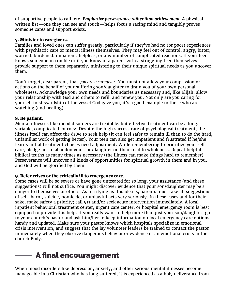of supportive people to call, etc. *Emphasize perseverance rather than achievement.* A physical, written list—one they can see and touch—helps focus a racing mind and tangibly proves someone cares and support exists.

#### 7. Minister to caregivers.

Families and loved ones can suffer greatly, particularly if they've had no (or poor) experiences with psychiatric care or mental illness themselves. They may feel out of control, angry, bitter, worried, burdened, impatient, helpless, or any number of complicated reactions. If your teen knows someone in trouble or if you know of a parent with a struggling teen themselves, provide support to them separately, ministering to their unique spiritual needs as you uncover them.

Don't forget, dear parent, that *you are a caregiver*. You must not allow your compassion or actions on the behalf of your suffering son/daughter to drain you of your own personal wholeness. Acknowledge your own needs and boundaries as necessary and, like Elijah, allow your relationship with God and others to refill and renew you. Not only are you caring for yourself in stewardship of the vessel God gave you, it's a good example to those who are watching (and healing).

#### 8. Be patient.

Mental illnesses like mood disorders are treatable, but effective treatment can be a long, variable, complicated journey. Despite the high success rate of psychological treatment, the illness itself can affect the drive to seek help (it can feel safer to remain ill than to do the hard, unfamiliar work of getting better). Your teen can also get impatient and frustrated if he/she learns initial treatment choices need adjustment. While remembering to prioritize your selfcare, pledge not to abandon your son/daughter on their road to wholeness. Repeat helpful biblical truths as many times as necessary (the illness can make things hard to remember). Perseverance will uncover all kinds of opportunities for spiritual growth in them and in you, and God will be glorified by them.

#### 9. Refer crises or the critically ill to emergency care.

Some cases will be so severe or have gone untreated for so long, your assistance (and these suggestions) will not suffice. You might discover evidence that your son/daughter may be a danger to themselves or others. As terrifying as this idea is, parents must take all suggestions of self-harm, suicide, homicide, or unlawful acts very seriously. In these cases and for their sake, make safety a priority; call 911 and/or seek acute intervention immediately. A local inpatient behavioral treatment center, urgent care center, or hospital emergency room is best equipped to provide this help. If you really want to help more than just your son/daughter, go to your church's pastor and ask him/her to keep information on local emergency care options handy and updated. Make sure your pastor knows which hospitals specialize in emotional crisis intervention, and suggest that the lay volunteer leaders be trained to contact the pastor immediately when they observe dangerous behavior or evidence of an emotional crisis in the church Body.

## A final encouragement

When mood disorders like depression, anxiety, and other serious mental illnesses become manageable in a Christian who has long suffered, it is experienced as a holy deliverance from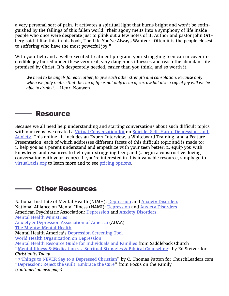a very personal sort of pain. It activates a spiritual light that burns bright and won't be extinguished by the failings of this fallen world. Their agony melts into a symphony of life inside people who once were desperate just to plink out a few notes of it. Author and pastor John Ortberg said it like this in his book, The Life You've Always Wanted: "Often it is the people closest to suffering who have the most powerful joy."

With your help and a well-executed treatment program, your struggling teen can uncover incredible joy buried under these very real, very dangerous illnesses and reach the abundant life promised by Christ. It's desperately needed, easier than you think, and so worth it.

*We need to be angels for each other, to give each other strength and consolation. Because only when we fully realize that the cup of life is not only a cup of sorrow but also a cup of joy will we be able to drink it.*—Henri Nouwen

#### **Resource Service State**

Because we all need help understanding and starting conversations about such difficult topics with our teens, we created a [Virtual Conversation Kit](https://virtual.axis.org/?_ga=2.46693031.1277357663.1508770740-1395879987.1462318022) on Suicide, Self-Harm, Depression, and [Anxiety.](https://virtual.axis.org/features/#suicide) This online kit includes an Expert Interview, a Whiteboard Training, and a Feature Presentation, each of which addresses different facets of this difficult topic and is made to: 1. help you as a parent understand and empathize with your teen better; 2. equip you with knowledge and resources to help your struggling teen; and 3. begin a constructive, loving conversation with your teen(s). If you're interested in this invaluable resource, simply go to [virtual.axis.org](https://virtual.axis.org/) to learn more and to see [pricing options](https://virtual.axis.org/pricing/).

## Other Resources

National Institute of Mental Health (NIMH): [Depression](https://www.nimh.nih.gov/health/topics/depression/index.shtml) and [Anxiety Disorders](https://www.nimh.nih.gov/health/topics/anxiety-disorders/index.shtml) National Alliance on Mental Illness (NAMI): [Depression](https://www.nami.org/Learn-More/Mental-Health-Conditions/Depression) and [Anxiety Disorders](https://www.nami.org/Learn-More/Mental-Health-Conditions/Anxiety-Disorders) American Psychiatric Association: [Depression](https://www.psychiatry.org/patients-families/depression/what-is-depression) and [Anxiety Disorders](https://www.psychiatry.org/patients-families/anxiety-disorders/what-are-anxiety-disorders) [Mental Health Ministries](http://www.mentalhealthministries.net) [Anxiety & Depression Association of America](https://adaa.org/) (ADAA) [The Mighty: Mental Health](https://themighty.com/mental-health/) Mental Health America's [Depression Screening Tool](http://www.mentalhealthamerica.net/mental-health-screen/patient-health) [World Health Organization on Depression](http://www.who.int/mediacentre/factsheets/fs369/en/) [Mental Health Resource Guide for Individuals and Families](http://www.mentalhealthministries.net/resources/resource_guides/Hope_Resource_Guide.pdf) from Saddleback Church ["Mental Illness & Medication vs. Spiritual Struggles & Biblical Counselin](http://www.christianitytoday.com/edstetzer/2013/april/mental-illness-medication-vs-spiritual-struggles.html)g" by Ed Stetzer for *Christianity Today* ["7 Things to NEVER Say to a Depressed Christian](https://churchleaders.com/outreach-missions/outreach-missions-articles/249798-7-things-never-say-depressed-christian.html)" by C. Thomas Patton for ChurchLeaders.com "[Depression: Reject the Guilt, Embrace the Cure](http://www.focusonthefamily.com/marriage/facing-crisis/dealing-with-depression/depression-reject-the-guilt-embrace-the-cure)" from Focus on the Family *(continued on next page)*